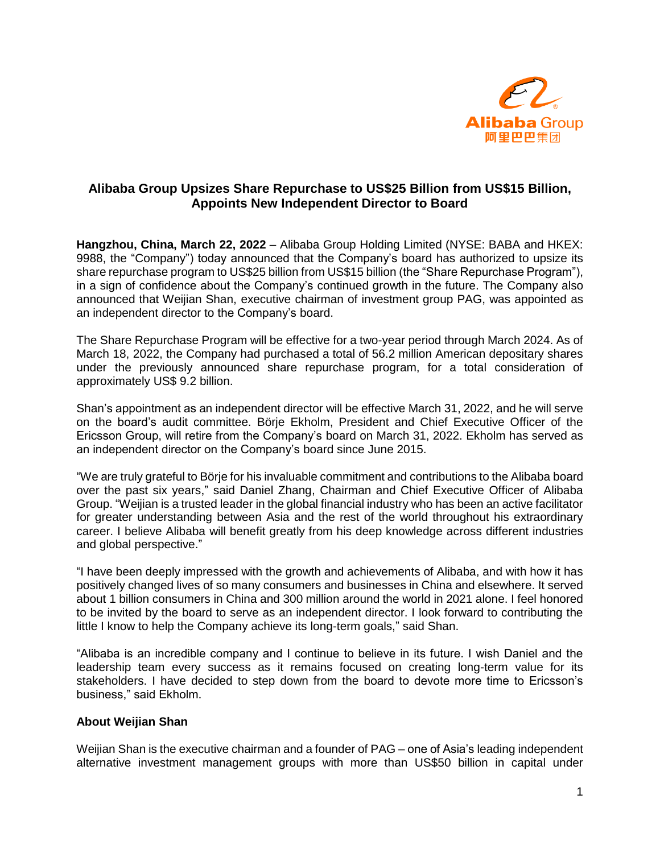

## **Alibaba Group Upsizes Share Repurchase to US\$25 Billion from US\$15 Billion, Appoints New Independent Director to Board**

**Hangzhou, China, March 22, 2022** – Alibaba Group Holding Limited (NYSE: BABA and HKEX: 9988, the "Company") today announced that the Company's board has authorized to upsize its share repurchase program to US\$25 billion from US\$15 billion (the "Share Repurchase Program"), in a sign of confidence about the Company's continued growth in the future. The Company also announced that Weijian Shan, executive chairman of investment group PAG, was appointed as an independent director to the Company's board.

The Share Repurchase Program will be effective for a two-year period through March 2024. As of March 18, 2022, the Company had purchased a total of 56.2 million American depositary shares under the previously announced share repurchase program, for a total consideration of approximately US\$ 9.2 billion.

Shan's appointment as an independent director will be effective March 31, 2022, and he will serve on the board's audit committee. Börje Ekholm, President and Chief Executive Officer of the Ericsson Group, will retire from the Company's board on March 31, 2022. Ekholm has served as an independent director on the Company's board since June 2015.

"We are truly grateful to Börje for his invaluable commitment and contributions to the Alibaba board over the past six years," said Daniel Zhang, Chairman and Chief Executive Officer of Alibaba Group. "Weijian is a trusted leader in the global financial industry who has been an active facilitator for greater understanding between Asia and the rest of the world throughout his extraordinary career. I believe Alibaba will benefit greatly from his deep knowledge across different industries and global perspective."

"I have been deeply impressed with the growth and achievements of Alibaba, and with how it has positively changed lives of so many consumers and businesses in China and elsewhere. It served about 1 billion consumers in China and 300 million around the world in 2021 alone. I feel honored to be invited by the board to serve as an independent director. I look forward to contributing the little I know to help the Company achieve its long-term goals," said Shan.

"Alibaba is an incredible company and I continue to believe in its future. I wish Daniel and the leadership team every success as it remains focused on creating long-term value for its stakeholders. I have decided to step down from the board to devote more time to Ericsson's business," said Ekholm.

## **About Weijian Shan**

Weijian Shan is the executive chairman and a founder of PAG – one of Asia's leading independent alternative investment management groups with more than US\$50 billion in capital under